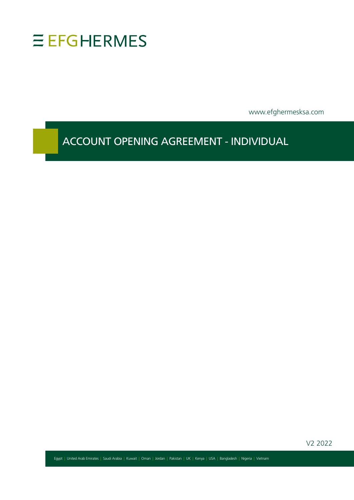

www.efghermesksa.com

ACCOUNT OPENING AGREEMENT - INDIVIDUAL

V2 2022

Egypt | United Arab Emirates | Saudi Arabia | Kuwait | Oman | Jordan | Pakistan | UK | Kenya | USA | Bangladesh | Nigeria | Vietnam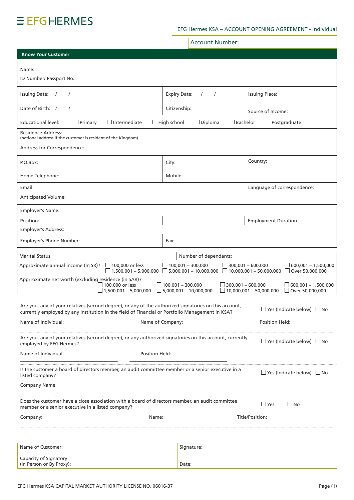# **EEFGHERMES**

# EFG Hermes KSA - ACCOUNT OPENING AGREEMENT - Individual

|                                                                                                                                                                                                          |                                                        | <b>Account Number:</b>                                    |                          |                                |                                                 |
|----------------------------------------------------------------------------------------------------------------------------------------------------------------------------------------------------------|--------------------------------------------------------|-----------------------------------------------------------|--------------------------|--------------------------------|-------------------------------------------------|
| <b>Know Your Customer</b>                                                                                                                                                                                |                                                        |                                                           |                          |                                |                                                 |
| Name:                                                                                                                                                                                                    |                                                        |                                                           |                          |                                |                                                 |
| ID Number/ Passport No.:                                                                                                                                                                                 |                                                        |                                                           |                          |                                |                                                 |
| <b>Issuing Date:</b><br>$\prime$                                                                                                                                                                         |                                                        | <b>Expiry Date:</b><br>$\prime$                           |                          | <b>Issuing Place:</b>          |                                                 |
| Date of Birth: /<br>$\prime$                                                                                                                                                                             |                                                        | Citizenship:                                              |                          | Source of Income:              |                                                 |
| $\Box$ Primary<br>Educational level:                                                                                                                                                                     | $\Box$ Intermediate<br>$\Box$ High school              | $\Box$ Diploma                                            | $\Box$ Bachelor          |                                | $\Box$ Postgraduate                             |
| Residence Address:<br>(national address if the customer is resident of the Kingdom)                                                                                                                      |                                                        |                                                           |                          |                                |                                                 |
| Address for Correspondence:                                                                                                                                                                              |                                                        |                                                           |                          |                                |                                                 |
| P.O.Box:                                                                                                                                                                                                 | City:                                                  |                                                           |                          | Country:                       |                                                 |
| Home Telephone:                                                                                                                                                                                          | Mobile:                                                |                                                           |                          |                                |                                                 |
| Email:                                                                                                                                                                                                   |                                                        |                                                           |                          | Language of correspondence:    |                                                 |
| Anticipated Volume:                                                                                                                                                                                      |                                                        |                                                           |                          |                                |                                                 |
| Employer's Name:                                                                                                                                                                                         |                                                        |                                                           |                          |                                |                                                 |
| Position:                                                                                                                                                                                                |                                                        |                                                           |                          | <b>Employment Duration</b>     |                                                 |
| <b>Employer's Address:</b>                                                                                                                                                                               |                                                        |                                                           |                          |                                |                                                 |
| Employer's Phone Number:                                                                                                                                                                                 | Fax:                                                   |                                                           |                          |                                |                                                 |
| <b>Marital Status</b>                                                                                                                                                                                    |                                                        | Number of dependants:                                     |                          |                                |                                                 |
| Approximate annual income (In SR)?                                                                                                                                                                       | $\Box$ 100,000 or less<br>$\Box$ 1,500,001 - 5,000,000 | $\Box$ 100,001 - 300,000<br>$\Box$ 5,000,001 - 10,000,000 | $\Box$ 300,001 - 600,000 | $\Box$ 10,000,001 - 50,000,000 | $600,001 - 1,500,000$<br>Over 50,000,000        |
| Apprroximate net worth (excluding residence (in SAR)?                                                                                                                                                    | 100,000 or less<br>$\Box$ 1,500,001 – 5,000,000        | $\Box$ 100.001 - 300.000<br>$\Box$ 5,000,001 - 10,000,000 | $\Box$ 300,001 - 600,000 | $\Box$ 10,000,001 - 50,000,000 | $\Box$ 600,001 – 1,500,000<br>□ Over 50,000,000 |
| Are you, any of your relatives (second degree), or any of the authorized signatories on this account,<br>currently employed by any institution in the field of Financial or Portfolio Management in KSA? |                                                        |                                                           |                          |                                | $\Box$ Yes (Indicate below) $\Box$ No           |
| Name of Individual:                                                                                                                                                                                      | Name of Company:                                       |                                                           |                          | Position Held:                 |                                                 |
| Are you, any of your relatives (second degree), or any authorized signatories on this account, currently<br>employed by EFG Hermes?                                                                      |                                                        |                                                           |                          |                                | $\Box$ Yes (Indicate below) $\Box$ No           |
| Name of Individual:                                                                                                                                                                                      | Position Held:                                         |                                                           |                          |                                |                                                 |
| Is the customer a board of directors member, an audit committee member or a senior executive in a<br>listed company?                                                                                     |                                                        |                                                           |                          |                                | $\Box$ Yes (Indicate below) $\Box$ No           |
| <b>Company Name</b>                                                                                                                                                                                      |                                                        |                                                           |                          |                                |                                                 |
| Does the customer have a close association with a board of directors member, an audit committee<br>member or a senior executive in a listed company?                                                     |                                                        |                                                           |                          | $\Box$ Yes                     | $\Box$ No                                       |
| Company:                                                                                                                                                                                                 | Name:                                                  |                                                           |                          | Title/Position:                |                                                 |
|                                                                                                                                                                                                          |                                                        |                                                           |                          |                                |                                                 |
| Name of Customer:                                                                                                                                                                                        |                                                        | Signature:                                                |                          |                                |                                                 |
| Capacity of Signatory                                                                                                                                                                                    |                                                        |                                                           |                          |                                |                                                 |
| (In Person or By Proxy):                                                                                                                                                                                 |                                                        | Date:                                                     |                          |                                |                                                 |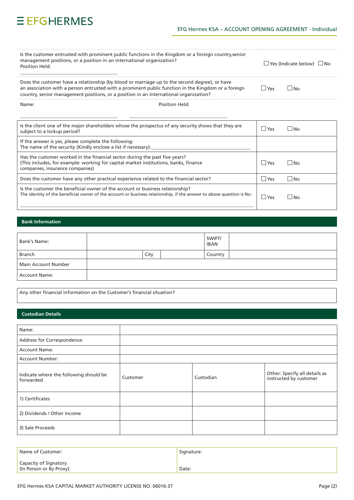# EFG Hermes KSA - ACCOUNT OPENING AGREEMENT - Individual

 $\cdots$ 

| Is the customer entrusted with prominent public functions in the Kingdom or a foreign country, senior<br>management positions, or a position in an international organization?<br>Position Held:                                                                                              | $\Box$ Yes (Indicate below) $\Box$ No |           |
|-----------------------------------------------------------------------------------------------------------------------------------------------------------------------------------------------------------------------------------------------------------------------------------------------|---------------------------------------|-----------|
| Does the customer have a relationship (by blood or marriage up to the second degree), or have<br>an association with a person entrusted with a prominent public function in the Kingdom or a foreign<br>country, senior management positions, or a position in an international organization? | $ $ $ $ Yes                           | ∣ IN∩     |
| Name:<br>Position Held:                                                                                                                                                                                                                                                                       |                                       |           |
| Is the client one of the major shareholders whose the prospectus of any security shows that they are<br>subject to a lockup period?                                                                                                                                                           | l lYes                                | l INo     |
| If the answer is yes, please complete the following:<br>The name of the security (Kindly enclose a list if necessary):                                                                                                                                                                        |                                       |           |
| Has the customer worked in the financial sector during the past five years?<br>(This includes, for example: working for capital market institutions, banks, finance<br>companies, insurance companies)                                                                                        | l lYes                                | ∣ IN∩     |
| Does the customer have any other practical experience related to the financial sector?                                                                                                                                                                                                        | $\Box$ Yes                            | $\Box$ No |
| Is the customer the beneficial owner of the account or business relationship?<br>The identity of the beneficial owner of the account or business relationship, if the answer to above question is No:                                                                                         | l lYes                                | ∣ IN∩     |

## **Bank Information**

| Bank's Name:         |      | SWIFT/<br><b>IBAN</b> |  |
|----------------------|------|-----------------------|--|
| Branch               | City | Country               |  |
| Main Account Number  |      |                       |  |
| <b>Account Name:</b> |      |                       |  |

Any other financial information on the Customer's financial situation?

## **Custodian Details**

| Name:                                               |          |           |                                                         |
|-----------------------------------------------------|----------|-----------|---------------------------------------------------------|
| Address for Correspondence:                         |          |           |                                                         |
| <b>Account Name:</b>                                |          |           |                                                         |
| <b>Account Number:</b>                              |          |           |                                                         |
| Indicate where the following should be<br>forwarded | Customer | Custodian | Other: Specify all details as<br>instructed by customer |
| 1) Certificates                                     |          |           |                                                         |
| 2) Dividends / Other Income                         |          |           |                                                         |
| 3) Sale Proceeds                                    |          |           |                                                         |

| Name of Customer:                                 | Signature: |
|---------------------------------------------------|------------|
| Capacity of Signatory<br>(In Person or By Proxy): | Date:      |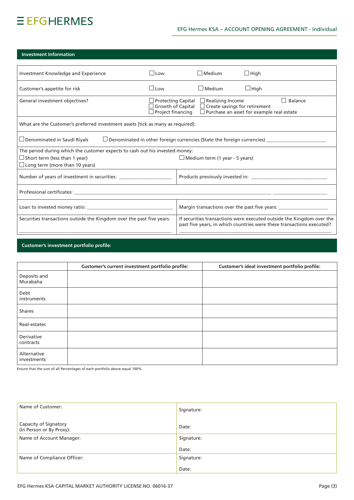# $EFGHERMES$

# EFG Hermes KSA - ACCOUNT OPENING AGREEMENT - Individual

# **Investment Information**

| Investment Knowledge and Experience                                                                                 | $\Box$ Low                                                                             | $\Box$ Medium                         | $\Box$ High                                                                              |                                                                                                                                                |
|---------------------------------------------------------------------------------------------------------------------|----------------------------------------------------------------------------------------|---------------------------------------|------------------------------------------------------------------------------------------|------------------------------------------------------------------------------------------------------------------------------------------------|
| Customer's appetite for risk                                                                                        | $\Box$ Low                                                                             | $\Box$ Medium                         | $\Box$ High                                                                              |                                                                                                                                                |
| General investment objectives?                                                                                      | $\lrcorner$ Protecting Capital<br>$\Box$ Growth of Capital<br>$\Box$ Project financing | $\Box$ Realizing Income               | $\Box$ Create savings for retirement<br>$\Box$ Purchase an asset for example real estate | $\Box$ Balance                                                                                                                                 |
| What are the Customer's preferred investment assets [tick as many as required]:                                     |                                                                                        |                                       |                                                                                          |                                                                                                                                                |
| $\Box$ Denominated in Saudi Riyals<br>$\Box$ Denominated in other foreign currencies (State the foreign currencies) |                                                                                        |                                       |                                                                                          |                                                                                                                                                |
| The period during which the customer expects to cash out his invested money:                                        |                                                                                        |                                       |                                                                                          |                                                                                                                                                |
| $\Box$ Short term (less than 1 year)                                                                                |                                                                                        | $\Box$ Medium term (1 year - 5 years) |                                                                                          |                                                                                                                                                |
| $\Box$ Long term (more than 10 years)                                                                               |                                                                                        |                                       |                                                                                          |                                                                                                                                                |
| Number of years of investment in securities: ___________________________________                                    |                                                                                        |                                       |                                                                                          |                                                                                                                                                |
|                                                                                                                     |                                                                                        |                                       |                                                                                          |                                                                                                                                                |
|                                                                                                                     |                                                                                        |                                       | Margin transactions over the past five years: __________________________________         |                                                                                                                                                |
| Securities transactions outside the Kingdom over the past five years.                                               |                                                                                        |                                       |                                                                                          | If securities transactions were executed outside the Kingdom over the<br>past five years, in which countries were these transactions executed? |
|                                                                                                                     |                                                                                        |                                       |                                                                                          |                                                                                                                                                |

# **Customer's investment portfolio profile:**

|                            | Customer's current investment portfolio profile: | Customer's ideal investment portfolio profile: |
|----------------------------|--------------------------------------------------|------------------------------------------------|
| Deposits and<br>Murabaha   |                                                  |                                                |
| Debt<br>instruments        |                                                  |                                                |
| <b>Shares</b>              |                                                  |                                                |
| Real-estates               |                                                  |                                                |
| Derivative<br>contracts    |                                                  |                                                |
| Alternative<br>investments |                                                  |                                                |

Ensure that the sum of all Percentages of each portfolio above equal 100%

| Name of Customer:                                 | Signature: |
|---------------------------------------------------|------------|
| Capacity of Signatory<br>(In Person or By Proxy): | Date:      |
| Name of Account Manager:                          | Signature: |
|                                                   | Date:      |
| Name of Compliance Officer:                       | Signature: |
|                                                   | Date:      |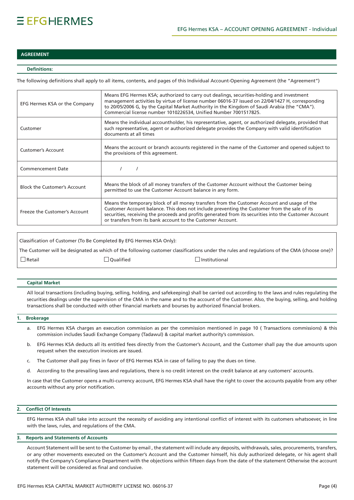## **AGREEMENT**

## **:Definitions**

The following definitions shall apply to all items, contents, and pages of this Individual Account-Opening Agreement (the "Agreement")

| EFG Hermes KSA or the Company       | Means EFG Hermes KSA; authorized to carry out dealings, securities-holding and investment<br>management activities by virtue of license number 06016-37 issued on 22/04/1427 H, corresponding<br>to 20/05/2006 G, by the Capital Market Authority in the Kingdom of Saudi Arabia (the "CMA").<br>Commercial license number 1010226534, Unified Number 7001517825.    |
|-------------------------------------|----------------------------------------------------------------------------------------------------------------------------------------------------------------------------------------------------------------------------------------------------------------------------------------------------------------------------------------------------------------------|
| Customer                            | Means the individual accountholder, his representative, agent, or authorized delegate, provided that<br>such representative, agent or authorized delegate provides the Company with valid identification<br>documents at all times                                                                                                                                   |
| <b>Customer's Account</b>           | Means the account or branch accounts registered in the name of the Customer and opened subject to<br>the provisions of this agreement.                                                                                                                                                                                                                               |
| <b>Commencement Date</b>            |                                                                                                                                                                                                                                                                                                                                                                      |
| <b>Block the Customer's Account</b> | Means the block of all money transfers of the Customer Account without the Customer being<br>permitted to use the Customer Account balance in any form.                                                                                                                                                                                                              |
| Freeze the Customer's Account       | Means the temporary block of all money transfers from the Customer Account and usage of the<br>Customer Account balance. This does not include preventing the Customer from the sale of its<br>securities, receiving the proceeds and profits generated from its securities into the Customer Account<br>or transfers from its bank account to the Customer Account. |

Classification of Customer (To Be Completed By EFG Hermes KSA Only): The Customer will be designated as which of the following customer classifications under the rules and regulations of the CMA (choose one)?  $\square$  Retail  $\square$  Qualified  $\square$  Institutional

#### **Capital Market**

All local transactions (including buying, selling, holding, and safekeeping) shall be carried out according to the laws and rules regulating the securities dealings under the supervision of the CMA in the name and to the account of the Customer. Also, the buying, selling, and holding transactions shall be conducted with other financial markets and bourses by authorized financial brokers.

#### **Brokerage 1.**

- a. EFG Hermes KSA charges an execution commission as per the commission mentioned in page 10 (Transactions commissions) & this commission includes Saudi Exchange Company (Tadawul) & capital market authority's commission.
- b. EFG Hermes KSA deducts all its entitled fees directly from the Customer's Account, and the Customer shall pay the due amounts upon request when the execution invoices are issued.
- c. The Customer shall pay fines in favor of EFG Hermes KSA in case of failing to pay the dues on time.
- d. According to the prevailing laws and regulations, there is no credit interest on the credit balance at any customers' accounts.

In case that the Customer opens a multi-currency account, EFG Hermes KSA shall have the right to cover the accounts payable from any other accounts without any prior notification.

### **2.** Conflict Of Interests

EFG Hermes KSA shall take into account the necessity of avoiding any intentional conflict of interest with its customers whatsoever, in line with the laws, rules, and regulations of the CMA.

### **Accounts and Statements of Accounts**

Account Statement will be sent to the Customer by email, the statement will include any deposits, withdrawals, sales, procurements, transfers, or any other movements executed on the Customer's Account and the Customer himself, his duly authorized delegate, or his agent shall notify the Company's Compliance Department with the objections within fifteen days from the date of the statement Otherwise the account statement will be considered as final and conclusive.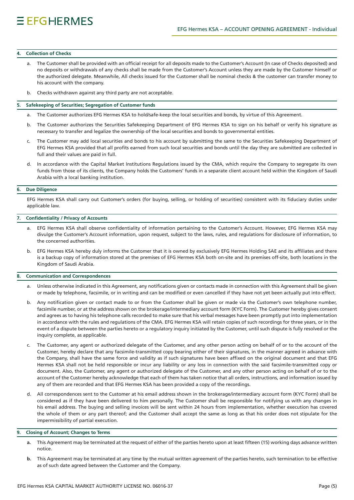#### **4.** Collection of Checks

- a. The Customer shall be provided with an official receipt for all deposits made to the Customer's Account (In case of Checks deposited) and no deposits or withdrawals of any checks shall be made from the Customer's Account unless they are made by the Customer himself or the authorized delegate. Meanwhile, All checks issued for the Customer shall be nominal checks & the customer can transfer money to his account with the company.
- b. Checks withdrawn against any third party are not acceptable.

#### **5.** Safekeeping of Securities; Segregation of Customer funds

- a. The Customer authorizes EFG Hermes KSA to hold/safe-keep the local securities and bonds, by virtue of this Agreement.
- b. The Customer authorizes the Securities Safekeeping Department of EFG Hermes KSA to sign on his behalf or verify his signature as necessary to transfer and legalize the ownership of the local securities and bonds to governmental entities.
- c. The Customer may add local securities and bonds to his account by submitting the same to the Securities Safekeeping Department of EFG Hermes KSA provided that all profits earned from such local securities and bonds until the day they are submitted are collected in full and their values are paid in full.
- d. In accordance with the Capital Market Institutions Regulations issued by the CMA, which require the Company to segregate its own funds from those of its clients, the Company holds the Customers' funds in a separate client account held within the Kingdom of Saudi Arabia with a local banking institution.

#### **6.** Due Diligence

EFG Hermes KSA shall carry out Customer's orders (for buying, selling, or holding of securities) consistent with its fiduciary duties under applicable law.

## 7. Confidentiality / Privacy of Accounts

- a. EFG Hermes KSA shall observe confidentiality of information pertaining to the Customer's Account. However, EFG Hermes KSA may divulge the Customer's Account information, upon request, subject to the laws, rules, and regulations for disclosure of information, to the concerned authorities.
- b. EFG Hermes KSA hereby duly informs the Customer that it is owned by exclusively EFG Hermes Holding SAE and its affiliates and there is a backup copy of information stored at the premises of EFG Hermes KSA both on-site and its premises off-site, both locations in the Kingdom of Saudi Arabia.

### **8.** Communication and Correspondences

- a. Unless otherwise indicated in this Agreement, any notifications given or contacts made in connection with this Agreement shall be given or made by telephone, facsimile, or in writing and can be modified or even cancelled if they have not yet been actually put into effect.
- b. Any notification given or contact made to or from the Customer shall be given or made via the Customer's own telephone number, facsimile number, or at the address shown on the brokerage/intermediary account form (KYC Form). The Customer hereby gives consent and agrees as to having his telephone calls recorded to make sure that his verbal messages have been promptly put into implementation in accordance with the rules and regulations of the CMA. EFG Hermes KSA will retain copies of such recordings for three years, or in the event of a dispute between the parties hereto or a regulatory inguiry initiated by the Customer, until such dispute is fully resolved or the inquiry complete, as applicable.
- c. The Customer, any agent or authorized delegate of the Customer, and any other person acting on behalf of or to the account of the Customer, hereby declare that any facsimile-transmitted copy bearing either of their signatures, in the manner agreed in advance with the Company, shall have the same force and validity as if such signatures have been affixed on the original document and that EFG Hermes KSA shall not be held responsible or incur any liability or any loss in connection with the said facsimile-transmitted copy or document. Also, the Customer, any agent or authorized delegate of the Customer, and any other person acting on behalf of or to the account of the Customer hereby acknowledge that each of them has taken notice that all orders, instructions, and information issued by any of them are recorded and that EFG Hermes KSA has been provided a copy of the recordings.
- d. All correspondences sent to the Customer at his email address shown in the brokerage/intermediary account form (KYC Form) shall be considered as if they have been delivered to him personally. The Customer shall be responsible for notifying us with any changes in his email address. The buying and selling invoices will be sent within 24 hours from implementation, whether execution has covered the whole of them or any part thereof; and the Customer shall accept the same as long as that his order does not stipulate for the impermissibility of partial execution.

#### **9.** Closing of Account; Changes to Terms

- a. This Agreement may be terminated at the request of either of the parties hereto upon at least fifteen (15) working days advance written .notice
- b. This Agreement may be terminated at any time by the mutual written agreement of the parties hereto, such termination to be effective as of such date agreed between the Customer and the Company.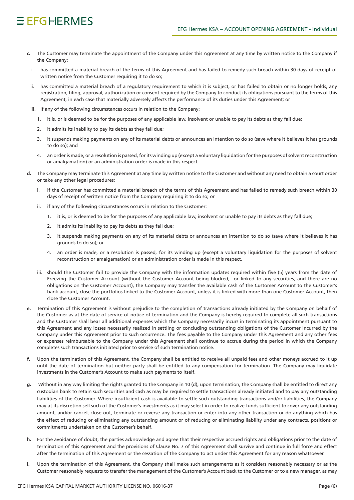# $EFGHFRMFS$

- c. The Customer may terminate the appointment of the Company under this Agreement at any time by written notice to the Company if the Company:
- i. has committed a material breach of the terms of this Agreement and has failed to remedy such breach within 30 days of receipt of written notice from the Customer requiring it to do so:
- ii. has committed a material breach of a regulatory requirement to which it is subject, or has failed to obtain or no longer holds, any registration, filing, approval, authorization or consent required by the Company to conduct its obligations pursuant to the terms of this Agreement, in each case that materially adversely affects the performance of its duties under this Agreement; or
- iii. if any of the following circumstances occurs in relation to the Company:
	- 1. it is, or is deemed to be for the purposes of any applicable law, insolvent or unable to pay its debts as they fall due;
	- 2. it admits its inability to pay its debts as they fall due;
	- 3. it suspends making payments on any of its material debts or announces an intention to do so (save where it believes it has grounds to do so); and
	- 4. an order is made, or a resolution is passed, for its winding up (except a voluntary liquidation for the purposes of solvent reconstruction or amalgamation) or an administration order is made in this respect.
- d. The Company may terminate this Agreement at any time by written notice to the Customer and without any need to obtain a court order or take any other legal procedures:
	- if the Customer has committed a material breach of the terms of this Agreement and has failed to remedy such breach within 30 days of receipt of written notice from the Company requiring it to do so; or
	- ii. if any of the following circumstances occurs in relation to the Customer:
		- 1. it is, or is deemed to be for the purposes of any applicable law, insolvent or unable to pay its debts as they fall due;
		- 2. it admits its inability to pay its debts as they fall due;
		- 3. it suspends making payments on any of its material debts or announces an intention to do so (save where it believes it has grounds to do so); or
		- 4. an order is made, or a resolution is passed, for its winding up (except a voluntary liquidation for the purposes of solvent reconstruction or amalgamation) or an administration order is made in this respect.
	- iii. should the Customer fail to provide the Company with the information updates required within five (5) years from the date of Freezing the Customer Account (without the Customer Account being blocked, or linked to any securities, and there are no obligations on the Customer Account), the Company may transfer the available cash of the Customer Account to the Customer's bank account, close the portfolios linked to the Customer Account, unless it is linked with more than one Customer Account, then close the Customer Account.
- Termination of this Agreement is without prejudice to the completion of transactions already initiated by the Company on behalf of the Customer as at the date of service of notice of termination and the Company is hereby required to complete all such transactions and the Customer shall bear all additional expenses which the Company necessarily incurs in terminating its appointment pursuant to this Agreement and any losses necessarily realized in settling or concluding outstanding obligations of the Customer incurred by the Company under this Agreement prior to such occurrence. The fees payable to the Company under this Agreement and any other fees or expenses reimbursable to the Company under this Agreement shall continue to accrue during the period in which the Company completes such transactions initiated prior to service of such termination notice.
- f. Upon the termination of this Agreement, the Company shall be entitled to receive all unpaid fees and other moneys accrued to it up until the date of termination but neither party shall be entitled to any compensation for termination. The Company may liquidate investments in the Customer's Account to make such payments to itself.
- Without in any way limiting the rights granted to the Company in 10 (d), upon termination, the Company shall be entitled to direct any custodian bank to retain such securities and cash as may be required to settle transactions already initiated and to pay any outstanding liabilities of the Customer. Where insufficient cash is available to settle such outstanding transactions and/or liabilities, the Company may at its discretion sell such of the Customer's investments as it may select in order to realize funds sufficient to cover any outstanding amount, and/or cancel, close out, terminate or reverse any transaction or enter into any other transaction or do anything which has the effect of reducing or eliminating any outstanding amount or of reducing or eliminating liability under any contracts, positions or commitments undertaken on the Customer's behalf.
- h. For the avoidance of doubt, the parties acknowledge and agree that their respective accrued rights and obligations prior to the date of termination of this Agreement and the provisions of Clause No. 7 of this Agreement shall survive and continue in full force and effect after the termination of this Agreement or the cessation of the Company to act under this Agreement for any reason whatsoever.
- i. Upon the termination of this Agreement, the Company shall make such arrangements as it considers reasonably necessary or as the Customer reasonably requests to transfer the management of the Customer's Account back to the Customer or to a new manager, as may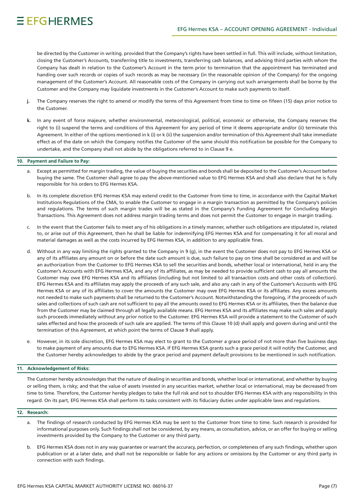be directed by the Customer in writing, provided that the Company's rights have been settled in full. This will include, without limitation, closing the Customer's Accounts, transferring title to investments, transferring cash balances, and advising third parties with whom the Company has dealt in relation to the Customer's Account in the term prior to termination that the appointment has terminated and handing over such records or copies of such records as may be necessary (in the reasonable opinion of the Company) for the ongoing management of the Customer's Account. All reasonable costs of the Company in carrying out such arrangements shall be borne by the Customer and the Company may liquidate investments in the Customer's Account to make such payments to itself.

- j. The Company reserves the right to amend or modify the terms of this Agreement from time to time on fifeen (15) days prior notice to the Customer.
- k. In any event of force majeure, whether environmental, meteorological, political, economic or otherwise, the Company reserves the right to (i) suspend the terms and conditions of this Agreement for any period of time it deems appropriate and/or (ii) terminate this Agreement. In either of the options mentioned in k (i) or k (ii) the suspension and/or termination of this Agreement shall take immediate effect as of the date on which the Company notifies the Customer of the same should this notification be possible for the Company to undertake, and the Company shall not abide by the obligations referred to in Clause 9 e.

### 10. Payment and Failure to Pay:

- a. Except as permitted for margin trading, the value of buying the securities and bonds shall be deposited to the Customer's Account before buying the same. The Customer shall agree to pay the above-mentioned value to EFG Hermes KSA and shall also declare that he is fully responsible for his orders to EFG Hermes KSA.
- b. In its complete discretion EFG Hermes KSA may extend credit to the Customer from time to time, in accordance with the Capital Market Institutions Regulations of the CMA, to enable the Customer to engage in a margin transaction as permitted by the Company's policies and regulations. The terms of such margin trades will be as stated in the Company's Funding Agreement for Concluding Margin Transactions. This Agreement does not address margin trading terms and does not permit the Customer to engage in margin trading.
- c. In the event that the Customer fails to meet any of his obligations in a timely manner, whether such obligations are stipulated in, related to, or arise out of this Agreement, then he shall be liable for indemnifying EFG Hermes KSA and for compensating it for all moral and material damages as well as the costs incurred by EFG Hermes KSA, in addition to any applicable fines.
- d. Without in any way limiting the rights granted to the Company in 9 (g), in the event the Customer does not pay to EFG Hermes KSA or any of its affiliates any amount on or before the date such amount is due, such failure to pay on time shall be considered as and will be an authorization from the Customer to EFG Hermes KSA to sell the securities and bonds, whether local or international, held in any the Customer's Accounts with EFG Hermes KSA, and any of its affiliates, as may be needed to provide sufficient cash to pay all amounts the Customer may owe EFG Hermes KSA and its affiliates (including but not limited to all transaction costs and other costs of collection). EFG Hermes KSA and its affiliates may apply the proceeds of any such sale, and also any cash in any of the Customer's Accounts with EFG Hermes KSA or any of its affiliates to cover the amounts the Customer may owe EFG Hermes KSA or its affiliates. Any excess amounts not needed to make such payments shall be returned to the Customer's Account. Notwithstanding the foregoing, if the proceeds of such sales and collections of such cash are not sufficient to pay all the amounts owed to EFG Hermes KSA or its affiliates, then the balance due from the Customer may be claimed through all legally available means. EFG Hermes KSA and its affiliates may make such sales and apply such proceeds immediately without any prior notice to the Customer. EFG Hermes KSA will provide a statement to the Customer of such sales effected and how the proceeds of such sale are applied. The terms of this Clause 10 (d) shall apply and govern during and until the termination of this Agreement, at which point the terms of Clause 9 shall apply.
- e. However, in its sole discretion, EFG Hermes KSA may elect to grant to the Customer a grace period of not more than five business days to make payment of any amounts due to EFG Hermes KSA. If EFG Hermes KSA grants such a grace period it will notify the Customer, and the Customer hereby acknowledges to abide by the grace period and payment default provisions to be mentioned in such notification.

### **11. Acknowledgement of Risks:**

The Customer hereby acknowledges that the nature of dealing in securities and bonds, whether local or international, and whether by buying or selling them, is risky; and that the value of assets invested in any securities market, whether local or international, may be decreased from time to time. Therefore, the Customer hereby pledges to take the full risk and not to shoulder EFG Hermes KSA with any responsibility in this regard. On its part, EFG Hermes KSA shall perform its tasks consistent with its fiduciary duties under applicable laws and regulations.

## **:Research 12.**

- a. The findings of research conducted by EFG Hermes KSA may be sent to the Customer from time to time. Such research is provided for informational purposes only. Such findings shall not be considered, by any means, as consultation, advice, or an offer for buying or selling investments provided by the Company to the Customer or any third party.
- b. EFG Hermes KSA does not in any way guarantee or warrant the accuracy, perfection, or completeness of any such findings, whether upon publication or at a later date, and shall not be responsible or liable for any actions or omissions by the Customer or any third party in connection with such findings.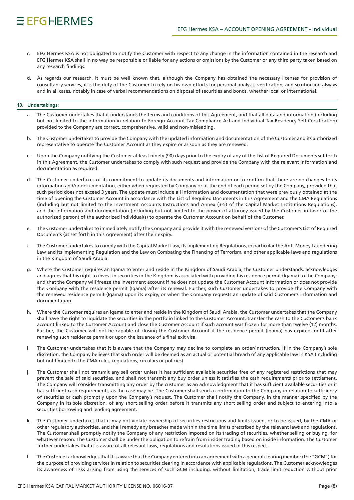# $EFGHFRMFS$

- c. EFG Hermes KSA is not obligated to notify the Customer with respect to any change in the information contained in the research and EFG Hermes KSA shall in no way be responsible or liable for any actions or omissions by the Customer or any third party taken based on any research findings.
- d. As regards our research, it must be well known that, although the Company has obtained the necessary licenses for provision of consultancy services, it is the duty of the Customer to rely on his own efforts for personal analysis, verification, and scrutinizing always and in all cases, notably in case of verbal recommendations on disposal of securities and bonds, whether local or international.

### 13. Undertakings:

- a. The Customer undertakes that it understands the terms and conditions of this Agreement, and that all data and information (including but not limited to the information in relation to Foreign Account Tax Compliance Act and Individual Tax Residency Self-Certification) provided to the Company are correct, comprehensive, valid and non-misleading.
- b. The Customer undertakes to provide the Company with the updated information and documentation of the Customer and its authorized representative to operate the Customer Account as they expire or as soon as they are renewed.
- c. Upon the Company notifying the Customer at least ninety (90) days prior to the expiry of any of the List of Required Documents set forth in this Agreement, the Customer undertakes to comply with such request and provide the Company with the relevant information and documentation as required.
- d. The Customer undertakes of its commitment to update its documents and information or to confirm that there are no changes to its information and/or documentation, either when requested by Company or at the end of each period set by the Company, provided that such period does not exceed 3 years. The update must include all information and documentation that were previously obtained at the time of opening the Customer Account in accordance with the List of Required Documents in this Agreement and the CMA Requlations (including but not limited to the Investment Accounts Instructions and Annex (3-5) of the Capital Market Institutions Regulations), and the information and documentation (including but not limited to the power of attorney issued by the Customer in favor of the authorized person) of the authorized individual(s) to operate the Customer Account on behalf of the Customer.
- e. The Customer undertakes to immediately notify the Company and provide it with the renewed versions of the Customer's List of Required Documents (as set forth in this Agreement) after their expiry.
- f. The Customer undertakes to comply with the Capital Market Law, its Implementing Regulations, in particular the Anti-Money Laundering Law and its Implementing Regulation and the Law on Combating the Financing of Terrorism, and other applicable laws and regulations in the Kingdom of Saudi Arabia.
- Where the Customer requires an Iqama to enter and reside in the Kingdom of Saudi Arabia, the Customer understands, acknowledges and agrees that his right to invest in securities in the Kingdom is associated with providing his residence permit (Iqama) to the Company; and that the Company will freeze the investment account if he does not update the Customer Account information or does not provide the Company with the residence permit (Iqama) after its renewal. Further, such Customer undertakes to provide the Company with the renewed residence permit (Igama) upon its expiry, or when the Company requests an update of said Customer's information and .documentation
- h. Where the Customer requires an Iqama to enter and reside in the Kingdom of Saudi Arabia, the Customer undertakes that the Company shall have the right to liquidate the securities in the portfolio linked to the Customer Account, transfer the cash to the Customer's bank account linked to the Customer Account and close the Customer Account if such account was frozen for more than twelve (12) months. Further, the Customer will not be capable of closing the Customer Account if the residence permit (Iqama) has expired, until after renewing such residence permit or upon the issuance of a final exit visa.
- i. The Customer undertakes that it is aware that the Company may decline to complete an order/instruction, if in the Company's sole discretion, the Company believes that such order will be deemed as an actual or potential breach of any applicable law in KSA (including but not limited to the CMA rules, regulations, circulars or policies).
- i. The Customer shall not transmit any sell order unless it has sufficient available securities free of any registered restrictions that may prevent the sale of said securities, and shall not transmit any buy order unless it satisfies the cash requirements prior to settlement. The Company will consider transmitting any order by the customer as an acknowledgment that it has sufficient available securities or it has sufficient cash requirements, as the case may be. The Customer shall send a confirmation to the Company in relation to sufficiency of securities or cash promptly upon the Company's request. The Customer shall notify the Company, in the manner specified by the Company in its sole discretion, of any short selling order before it transmits any short selling order and subject to entering into a securities borrowing and lending agreement.
- k. The Customer undertakes that it may not violate ownership of securities restrictions and limits issued, or to be issued, by the CMA or other regulatory authorities, and shall remedy any breaches made within the time limits prescribed by the relevant laws and regulations. The Customer shall promptly notify the Company of any restriction imposed on its trading of securities, whether selling or buying, for whatever reason. The Customer shall be under the obligation to refrain from insider trading based on inside information. The Customer further undertakes that it is aware of all relevant laws, regulations and resolutions issued in this respect.
- I. The Customer acknowledges that it is aware that the Company entered into an agreement with a general clearing member (the "GCM") for the purpose of providing services in relation to securities clearing in accordance with applicable regulations. The Customer acknowledges its awareness of risks arising from using the services of such GCM including, without limitation, trade limit reduction without prior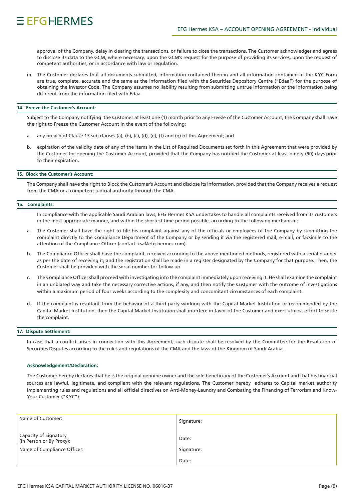approval of the Company, delay in clearing the transactions, or failure to close the transactions. The Customer acknowledges and agrees to disclose its data to the GCM, where necessary, upon the GCM's request for the purpose of providing its services, upon the request of competent authorities, or in accordance with law or regulation.

m. The Customer declares that all documents submitted, information contained therein and all information contained in the KYC Form are true, complete, accurate and the same as the information filed with the Securities Depository Centre ("Edaa") for the purpose of obtaining the Investor Code. The Company assumes no liability resulting from submitting untrue information or the information being different from the information filed with Edaa.

#### 14. Freeze the Customer's Account:

Subject to the Company notifying the Customer at least one (1) month prior to any Freeze of the Customer Account, the Company shall have the right to Freeze the Customer Account in the event of the following:

- a. any breach of Clause 13 sub clauses (a), (b), (c), (d), (e), (f) and (g) of this Agreement; and
- b. expiration of the validity date of any of the items in the List of Required Documents set forth in this Agreement that were provided by the Customer for opening the Customer Account, provided that the Company has notified the Customer at least ninety (90) days prior to their expiration.

#### **15. Block the Customer's Account:**

The Company shall have the right to Block the Customer's Account and disclose its information, provided that the Company receives a request from the CMA or a competent judicial authority through the CMA.

#### 16. Complaints:

In compliance with the applicable Saudi Arabian laws, EFG Hermes KSA undertakes to handle all complaints received from its customers in the most appropriate manner, and within the shortest time period possible, according to the following mechanism:-

- a. The Customer shall have the right to file his complaint against any of the officials or employees of the Company by submitting the complaint directly to the Compliance Department of the Company or by sending it via the registered mail, e-mail, or facsimile to the attention of the Compliance Officer (contact-ksa@efg-hermes.com).
- b. The Compliance Officer shall have the complaint, received according to the above-mentioned methods, registered with a serial number as per the date of receiving it; and the registration shall be made in a register designated by the Company for that purpose. Then, the Customer shall be provided with the serial number for follow-up.
- c. The Compliance Officer shall proceed with investigating into the complaint immediately upon receiving it. He shall examine the complaint in an unbiased way and take the necessary corrective actions, if any, and then notify the Customer with the outcome of investigations within a maximum period of four weeks according to the complexity and concomitant circumstances of each complaint.
- d. If the complaint is resultant from the behavior of a third party working with the Capital Market Institution or recommended by the Capital Market Institution, then the Capital Market Institution shall interfere in favor of the Customer and exert utmost effort to settle the complaint.

### **17. Dispute Settlement:**

In case that a conflict arises in connection with this Agreement, such dispute shall be resolved by the Committee for the Resolution of Securities Disputes according to the rules and regulations of the CMA and the laws of the Kingdom of Saudi Arabia.

#### **Acknowledgement/Declaration:**

The Customer hereby declares that he is the original genuine owner and the sole beneficiary of the Customer's Account and that his financial sources are lawful, legitimate, and compliant with the relevant regulations. The Customer hereby adheres to Capital market authority implementing rules and regulations and all official directives on Anti-Money-Laundry and Combating the Financing of Terrorism and Know-<br>Your-Customer ("KYC").

| Name of Customer:                                 | Signature: |
|---------------------------------------------------|------------|
| Capacity of Signatory<br>(In Person or By Proxy): | Date:      |
| Name of Compliance Officer:                       | Signature: |
|                                                   | Date:      |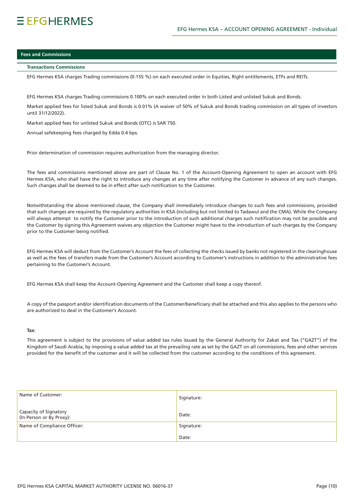# $EFGHFRMFS$

## **Fees and Commissions**

#### **Commissions Transactions**

EFG Hermes KSA charges Trading commissions (0.155 %) on each executed order in Equities, Right entitlements, ETFs and REITs.

EFG Hermes KSA charges Trading commissions 0.100% on each executed order in both Listed and unlisted Sukuk and Bonds.

Market applied fees for listed Sukuk and Bonds is 0.01% (A waiver of 50% of Sukuk and Bonds trading commission on all types of investors until 31/12/2022).

Market applied fees for unlisted Sukuk and Bonds (OTC) is SAR 750.

Annual safekeeping fees charged by Edda 0.4 bps.

Prior determination of commission requires authorization from the managing director.

The fees and commissions mentioned above are part of Clause No. 1 of the Account-Opening Agreement to open an account with EFG Hermes KSA, who shall have the right to introduce any changes at any time after notifying the Customer in advance of any such changes. Such changes shall be deemed to be in effect after such notification to the Customer.

Notwithstanding the above mentioned clause, the Company shall immediately introduce changes to such fees and commissions, provided that such changes are required by the requlatory authorities in KSA (including but not limited to Tadawul and the CMA). While the Company will always attempt to notify the Customer prior to the introduction of such additional charges such notification may not be possible and the Customer by signing this Agreement waives any objection the Customer might have to the introduction of such charges by the Company prior to the Customer being notified.

EFG Hermes KSA will deduct from the Customer's Account the fees of collecting the checks issued by banks not registered in the clearinghouse as well as the fees of transfers made from the Customer's Account according to Customer's instructions in addition to the administrative fees pertaining to the Customer's Account.

EFG Hermes KSA shall keep the Account-Opening Agreement and the Customer shall keep a copy thereof.

A copy of the passport and/or identification documents of the Customer/beneficiary shall be attached and this also applies to the persons who are authorized to deal in the Customer's Account.

### :**Tax**

This agreement is subject to the provisions of value added tax rules issued by the General Authority for Zakat and Tax ("GAZT") of the Kingdom of Saudi Arabia, by imposing a value added tax at the prevailing rate as set by the GAZT on all commissions, fees and other services provided for the benefit of the customer and it will be collected from the customer according to the conditions of this agreement.

| Name of Customer:                                 | Signature: |
|---------------------------------------------------|------------|
| Capacity of Signatory<br>(In Person or By Proxy): | Date:      |
| Name of Compliance Officer:                       | Signature: |
|                                                   | Date:      |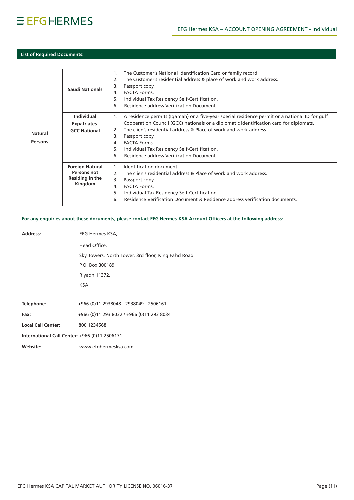# $EFGHERMES$

# **List of Required Documents:**

|                | <b>Saudi Nationals</b> | 1.<br>2.<br>3.<br>4.<br>5.<br>6. | The Customer's National Identification Card or family record.<br>The Customer's residential address & place of work and work address.<br>Passport copy.<br><b>FACTA Forms.</b><br>Individual Tax Residency Self-Certification.<br>Residence address Verification Document. |
|----------------|------------------------|----------------------------------|----------------------------------------------------------------------------------------------------------------------------------------------------------------------------------------------------------------------------------------------------------------------------|
|                | <b>Individual</b>      | 1.                               | A residence permits (Igamah) or a five-year special residence permit or a national ID for gulf                                                                                                                                                                             |
|                | <b>Expatriates-</b>    |                                  | Cooperation Council (GCC) nationals or a diplomatic identification card for diplomats.                                                                                                                                                                                     |
| <b>Natural</b> | <b>GCC National</b>    | 2.                               | The clien's residential address & Place of work and work address.                                                                                                                                                                                                          |
|                |                        | 3.                               | Passport copy.                                                                                                                                                                                                                                                             |
| Persons        |                        | 4.                               | <b>FACTA Forms.</b>                                                                                                                                                                                                                                                        |
|                |                        | 5.                               | Individual Tax Residency Self-Certification.                                                                                                                                                                                                                               |
|                |                        | 6.                               | Residence address Verification Document.                                                                                                                                                                                                                                   |
|                | <b>Foreign Natural</b> |                                  | Identification document.                                                                                                                                                                                                                                                   |
|                | Persons not            | 2 <sub>1</sub>                   | The clien's residential address & Place of work and work address.                                                                                                                                                                                                          |
|                | Residing in the        | 3.                               | Passport copy.                                                                                                                                                                                                                                                             |
|                | Kingdom                | 4.                               | <b>FACTA Forms.</b>                                                                                                                                                                                                                                                        |
|                |                        | 5.                               | Individual Tax Residency Self-Certification.                                                                                                                                                                                                                               |
|                |                        | 6.                               | Residence Verification Document & Residence address verification documents.                                                                                                                                                                                                |
|                |                        |                                  |                                                                                                                                                                                                                                                                            |

# For any enquiries about these documents, please contact EFG Hermes KSA Account Officers at the following address:-

| <b>Address:</b>                               | EFG Hermes KSA,                                    |
|-----------------------------------------------|----------------------------------------------------|
|                                               | Head Office,                                       |
|                                               | Sky Towers, North Tower, 3rd floor, King Fahd Road |
|                                               | P.O. Box 300189,                                   |
|                                               | Riyadh 11372,                                      |
|                                               | <b>KSA</b>                                         |
|                                               |                                                    |
| Telephone:                                    | +966 (0)11 2938048 - 2938049 - 2506161             |
| Fax:                                          | +966 (0)11 293 8032 / +966 (0)11 293 8034          |
| <b>Local Call Center:</b>                     | 800 1234568                                        |
| International Call Center: +966 (0)11 2506171 |                                                    |
| Website:                                      | www.efghermesksa.com                               |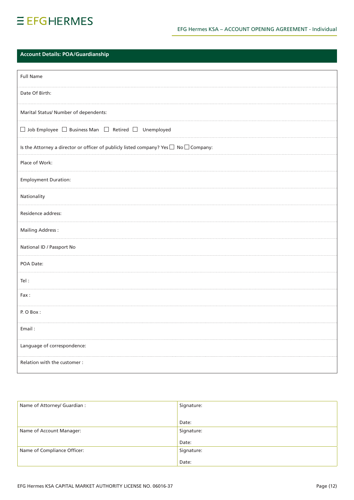# $EFGHERMES$

# **Account Details: POA/Guardianship**

| <b>Full Name</b>                                                                                |  |  |
|-------------------------------------------------------------------------------------------------|--|--|
| Date Of Birth:                                                                                  |  |  |
| Marital Status/ Number of dependents:                                                           |  |  |
| $\Box$ Job Employee $\Box$ Business Man $\Box$ Retired $\Box$ Unemployed                        |  |  |
| Is the Attorney a director or officer of publicly listed company? Yes $\Box$ No $\Box$ Company: |  |  |
| Place of Work:                                                                                  |  |  |
| <b>Employment Duration:</b>                                                                     |  |  |
| Nationality                                                                                     |  |  |
| Residence address:                                                                              |  |  |
| <b>Mailing Address:</b>                                                                         |  |  |
| National ID / Passport No                                                                       |  |  |
| POA Date:                                                                                       |  |  |
| Tel:                                                                                            |  |  |
| Fax:                                                                                            |  |  |
| P. O Box:                                                                                       |  |  |
| Email:                                                                                          |  |  |
| Language of correspondence:                                                                     |  |  |
| Relation with the customer :                                                                    |  |  |

| Name of Attorney/ Guardian : | Signature: |
|------------------------------|------------|
|                              |            |
|                              | Date:      |
| Name of Account Manager:     | Signature: |
|                              | Date:      |
| Name of Compliance Officer:  | Signature: |
|                              | Date:      |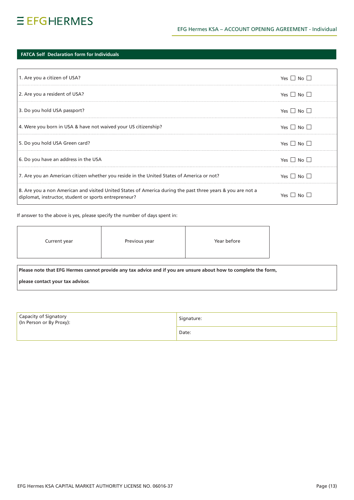# **IFATCA Self Declaration form for Individuals**

| 1. Are you a citizen of USA?                                                                                                                                        | $Yes \cup No \cup$            |
|---------------------------------------------------------------------------------------------------------------------------------------------------------------------|-------------------------------|
| 2. Are you a resident of USA?                                                                                                                                       | $Yes \Box No \Box$            |
| 3. Do you hold USA passport?                                                                                                                                        | Yes $\Box$ No $\Box$          |
| 4. Were you born in USA & have not waived your US citizenship?                                                                                                      | Yes $\Box$ No $\Box$          |
| 5. Do you hold USA Green card?                                                                                                                                      | Yes $\Box$ No $\Box$          |
| 6. Do you have an address in the USA                                                                                                                                | Yes $\Box$ No $\Box$          |
| 7. Are you an American citizen whether you reside in the United States of America or not?                                                                           | Yes $\Box$ No $\Box$          |
| 8. Are you a non American and visited United States of America during the past three years & you are not a<br>diplomat, instructor, student or sports entrepreneur? | $Yes \mid \mid N_O \mid \mid$ |

## If answer to the above is yes, please specify the number of days spent in:

| Current year | Previous year | Year before |
|--------------|---------------|-------------|
|              |               |             |

Please note that EFG Hermes cannot provide any tax advice and if you are unsure about how to complete the form,

please contact your tax advisor.

| Capacity of Signatory<br>(In Person or By Proxy): | Signature: |
|---------------------------------------------------|------------|
|                                                   | Date:      |